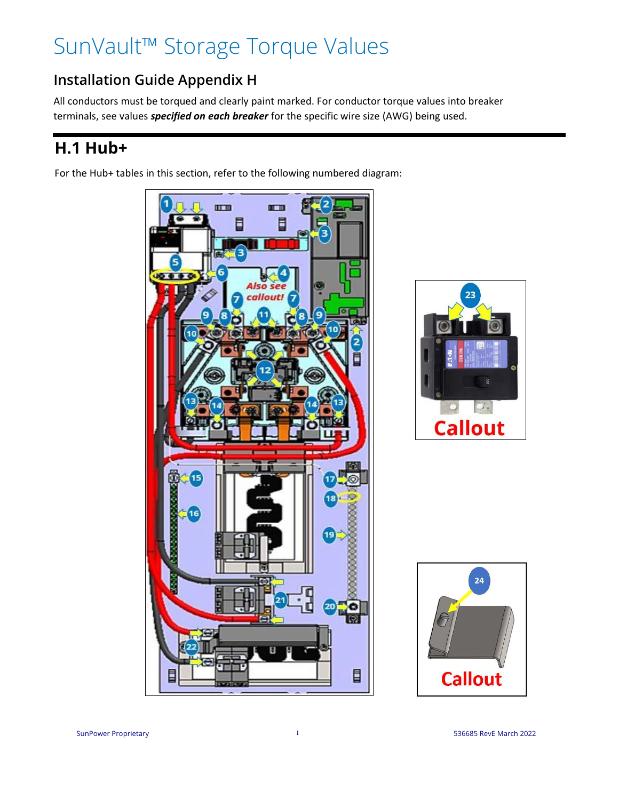# SunVault™ Storage Torque Values

#### **Installation Guide Appendix H**

All conductors must be torqued and clearly paint marked. For conductor torque values into breaker terminals, see values *specified on each breaker* for the specific wire size (AWG) being used.

### **H.1 Hub+**

For the Hub+ tables in this section, refer to the following numbered diagram:





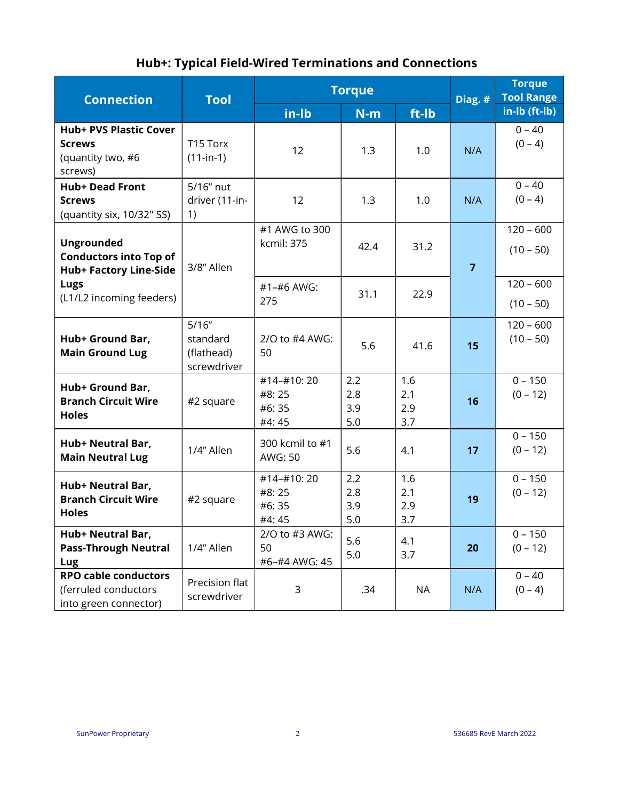#### **Hub+: Typical Field-Wired Terminations and Connections**

|                                                                                                                         | <b>Torque</b>                                   | Hub+: Typical Field-Wired Terminations and Connections | <b>Torque</b>            |                          |                |                                    |
|-------------------------------------------------------------------------------------------------------------------------|-------------------------------------------------|--------------------------------------------------------|--------------------------|--------------------------|----------------|------------------------------------|
| <b>Connection</b>                                                                                                       | <b>Tool</b>                                     | in-lb                                                  | $N-m$                    | ft-lb                    | Diag. #        | <b>Tool Range</b><br>in-lb (ft-lb) |
| <b>Hub+ PVS Plastic Cover</b><br><b>Screws</b><br>(quantity two, #6<br>screws)                                          | T15 Torx<br>$(11-in-1)$                         | 12                                                     | 1.3                      | 1.0                      | N/A            | $0 - 40$<br>$(0 - 4)$              |
| <b>Hub+ Dead Front</b><br><b>Screws</b><br>(quantity six, 10/32" SS)                                                    | 5/16" nut<br>driver (11-in-<br>1)               | 12                                                     | 1.3                      | 1.0                      | N/A            | $0 - 40$<br>$(0 - 4)$              |
| <b>Ungrounded</b><br><b>Conductors into Top of</b><br><b>Hub+ Factory Line-Side</b><br>Lugs<br>(L1/L2 incoming feeders) | 3/8" Allen                                      | #1 AWG to 300<br>kcmil: 375                            | 42.4                     | 31.2                     | $\overline{7}$ | $120 - 600$<br>$(10 - 50)$         |
|                                                                                                                         |                                                 | #1-#6 AWG:<br>275                                      | 31.1                     | 22.9                     |                | $120 - 600$<br>$(10 - 50)$         |
| Hub+ Ground Bar,<br><b>Main Ground Lug</b>                                                                              | 5/16''<br>standard<br>(flathead)<br>screwdriver | 2/O to #4 AWG:<br>50                                   | 5.6                      | 41.6                     | 15             | $120 - 600$<br>$(10 - 50)$         |
| Hub+ Ground Bar,<br><b>Branch Circuit Wire</b><br><b>Holes</b>                                                          | #2 square                                       | #14-#10:20<br>#8:25<br>#6:35<br>#4:45                  | 2.2<br>2.8<br>3.9<br>5.0 | 1.6<br>2.1<br>2.9<br>3.7 | 16             | $0 - 150$<br>$(0 - 12)$            |
| Hub+ Neutral Bar,<br><b>Main Neutral Lug</b>                                                                            | 1/4" Allen                                      | 300 kcmil to #1<br>AWG: 50                             | 5.6                      | 4.1                      | 17             | $0 - 150$<br>$(0 - 12)$            |
| Hub+ Neutral Bar,<br><b>Branch Circuit Wire</b><br><b>Holes</b>                                                         | #2 square                                       | #14-#10:20<br>#8:25<br>#6:35<br>#4:45                  | 2.2<br>2.8<br>3.9<br>5.0 | 1.6<br>2.1<br>2.9<br>3.7 | 19             | $0 - 150$<br>$(0 - 12)$            |
| Hub+ Neutral Bar,<br><b>Pass-Through Neutral</b><br>Lug                                                                 | 1/4" Allen                                      | 2/O to #3 AWG:<br>50<br>#6-#4 AWG: 45                  | 5.6<br>5.0               | 4.1<br>3.7               | 20             | $0 - 150$<br>$(0 - 12)$            |
| <b>RPO cable conductors</b><br>(ferruled conductors<br>into green connector)                                            | Precision flat<br>screwdriver                   | 3                                                      | .34                      | <b>NA</b>                | N/A            | $0 - 40$<br>$(0 - 4)$              |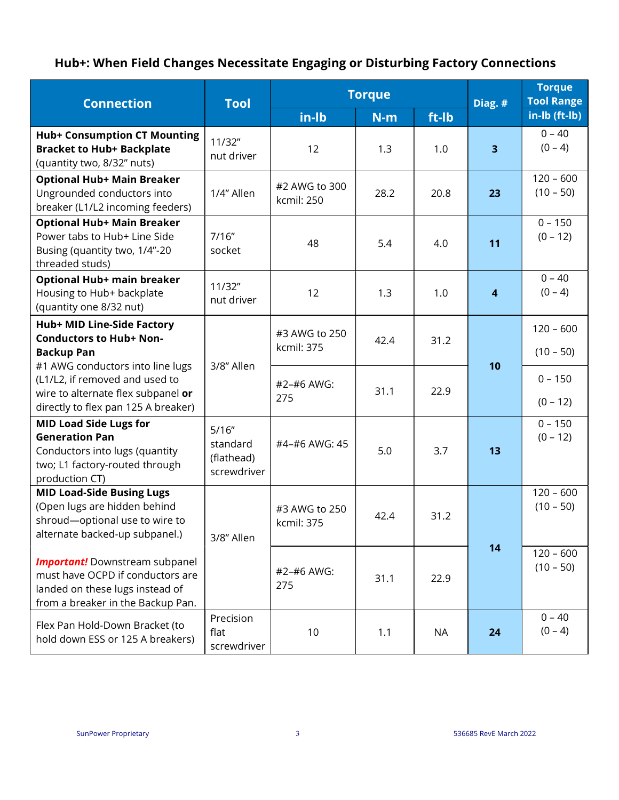#### **Hub+: When Field Changes Necessitate Engaging or Disturbing Factory Connections**

| <b>Connection</b>                                                                                                                                 | <b>Tool</b>                                    | <b>Torque</b>               |       |           |                  | <b>Torque</b><br><b>Tool Range</b> |
|---------------------------------------------------------------------------------------------------------------------------------------------------|------------------------------------------------|-----------------------------|-------|-----------|------------------|------------------------------------|
|                                                                                                                                                   |                                                | in-Ib                       | $N-m$ | ft-Ib     | Diag. #          | in-lb (ft-lb)                      |
| <b>Hub+ Consumption CT Mounting</b><br><b>Bracket to Hub+ Backplate</b><br>(quantity two, 8/32" nuts)                                             | 11/32"<br>nut driver                           | 12                          | 1.3   | 1.0       | 3 <sup>1</sup>   | $0 - 40$<br>$(0 - 4)$              |
| <b>Optional Hub+ Main Breaker</b><br>Ungrounded conductors into<br>breaker (L1/L2 incoming feeders)                                               | 1/4" Allen                                     | #2 AWG to 300<br>kcmil: 250 | 28.2  | 20.8      | 23               | $120 - 600$<br>$(10 - 50)$         |
| <b>Optional Hub+ Main Breaker</b><br>Power tabs to Hub+ Line Side<br>Busing (quantity two, 1/4"-20<br>threaded studs)                             | 7/16''<br>socket                               | 48                          | 5.4   | 4.0       | 11               | $0 - 150$<br>$(0 - 12)$            |
| Optional Hub+ main breaker<br>Housing to Hub+ backplate<br>(quantity one 8/32 nut)                                                                | 11/32"<br>nut driver                           | 12                          | 1.3   | 1.0       | $\boldsymbol{4}$ | $0 - 40$<br>$(0 - 4)$              |
| Hub+ MID Line-Side Factory<br><b>Conductors to Hub+ Non-</b><br><b>Backup Pan</b>                                                                 | 3/8" Allen                                     | #3 AWG to 250<br>kcmil: 375 | 42.4  | 31.2      | 10               | $120 - 600$<br>$(10 - 50)$         |
| #1 AWG conductors into line lugs<br>(L1/L2, if removed and used to<br>wire to alternate flex subpanel or<br>directly to flex pan 125 A breaker)   |                                                | #2-#6 AWG:<br>275           | 31.1  | 22.9      |                  | $0 - 150$<br>$(0 - 12)$            |
| <b>MID Load Side Lugs for</b><br><b>Generation Pan</b><br>Conductors into lugs (quantity<br>two; L1 factory-routed through<br>production CT)      | 5/16"<br>standard<br>(flathead)<br>screwdriver | #4-#6 AWG: 45               | 5.0   | 3.7       | 13               | $0 - 150$<br>$(0 - 12)$            |
| <b>MID Load-Side Busing Lugs</b><br>(Open lugs are hidden behind<br>shroud-optional use to wire to<br>alternate backed-up subpanel.)              | 3/8" Allen                                     | #3 AWG to 250<br>kcmil: 375 | 42.4  | 31.2      | 14               | $120 - 600$<br>$(10 - 50)$         |
| <b>Important!</b> Downstream subpanel<br>must have OCPD if conductors are<br>landed on these lugs instead of<br>from a breaker in the Backup Pan. |                                                | #2-#6 AWG:<br>275           | 31.1  | 22.9      |                  | $120 - 600$<br>$(10 - 50)$         |
| Flex Pan Hold-Down Bracket (to<br>hold down ESS or 125 A breakers)                                                                                | Precision<br>flat<br>screwdriver               | 10                          | 1.1   | <b>NA</b> | 24               | $0 - 40$<br>$(0 - 4)$              |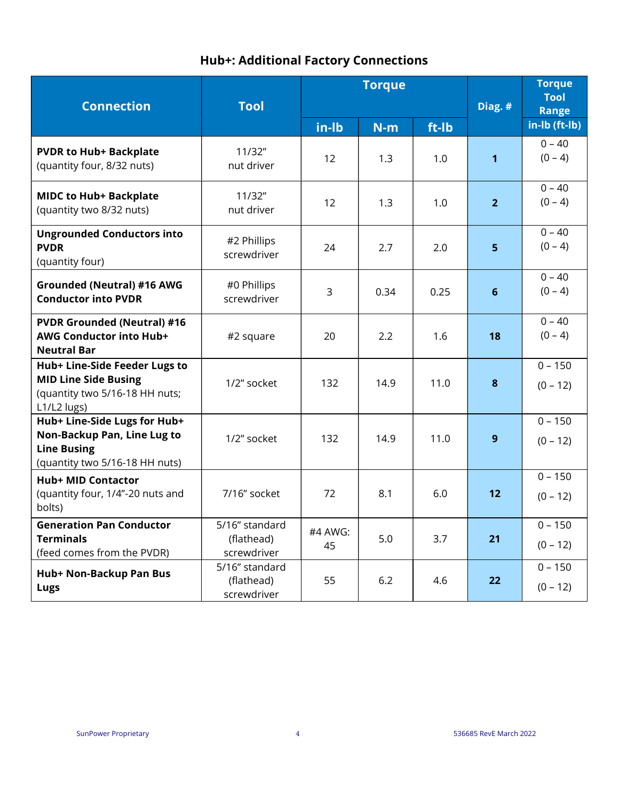#### **Hub+: Additional Factory Connections**

|                                                                                                                     |                                             |               | <b>Hub+: Additional Factory Connections</b> |         |                                       |                         |
|---------------------------------------------------------------------------------------------------------------------|---------------------------------------------|---------------|---------------------------------------------|---------|---------------------------------------|-------------------------|
| <b>Connection</b>                                                                                                   | <b>Tool</b>                                 |               | <b>Torque</b>                               | Diag. # | <b>Torque</b><br><b>Tool</b><br>Range |                         |
|                                                                                                                     |                                             | in-Ib         | $N-m$                                       | ft-lb   |                                       | in-lb (ft-lb)           |
| <b>PVDR to Hub+ Backplate</b><br>(quantity four, 8/32 nuts)                                                         | 11/32"<br>nut driver                        | 12            | 1.3                                         | 1.0     | $\mathbf{1}$                          | $0 - 40$<br>$(0 - 4)$   |
| <b>MIDC to Hub+ Backplate</b><br>(quantity two 8/32 nuts)                                                           | 11/32"<br>nut driver                        | 12            | 1.3                                         | 1.0     | 2 <sup>1</sup>                        | $0 - 40$<br>$(0 - 4)$   |
| <b>Ungrounded Conductors into</b><br><b>PVDR</b><br>(quantity four)                                                 | #2 Phillips<br>screwdriver                  | 24            | 2.7                                         | 2.0     | 5 <sub>1</sub>                        | $0 - 40$<br>$(0 - 4)$   |
| <b>Grounded (Neutral) #16 AWG</b><br><b>Conductor into PVDR</b>                                                     | #0 Phillips<br>screwdriver                  | 3             | 0.34                                        | 0.25    | $6\phantom{1}$                        | $0 - 40$<br>$(0 - 4)$   |
| <b>PVDR Grounded (Neutral) #16</b><br>AWG Conductor into Hub+<br><b>Neutral Bar</b>                                 | #2 square                                   | 20            | 2.2                                         | 1.6     | 18                                    | $0 - 40$<br>$(0 - 4)$   |
| Hub+ Line-Side Feeder Lugs to<br><b>MID Line Side Busing</b><br>(quantity two 5/16-18 HH nuts;<br>L1/L2 lugs)       | 1/2" socket                                 | 132           | 14.9                                        | 11.0    | 8                                     | $0 - 150$<br>$(0 - 12)$ |
| Hub+ Line-Side Lugs for Hub+<br>Non-Backup Pan, Line Lug to<br><b>Line Busing</b><br>(quantity two 5/16-18 HH nuts) | 1/2" socket                                 | 132           | 14.9                                        | 11.0    | 9                                     | $0 - 150$<br>$(0 - 12)$ |
| <b>Hub+ MID Contactor</b><br>(quantity four, 1/4"-20 nuts and<br>bolts)                                             | 7/16" socket                                | 72            | 8.1                                         | 6.0     | $12$                                  | $0 - 150$<br>$(0 - 12)$ |
| <b>Generation Pan Conductor</b><br><b>Terminals</b><br>(feed comes from the PVDR)                                   | 5/16" standard<br>(flathead)<br>screwdriver | #4 AWG:<br>45 | 5.0                                         | 3.7     | 21                                    | $0 - 150$<br>$(0 - 12)$ |
| Hub+ Non-Backup Pan Bus<br>Lugs                                                                                     | 5/16" standard<br>(flathead)<br>screwdriver | 55            | 6.2                                         | 4.6     | 22                                    | $0 - 150$<br>$(0 - 12)$ |